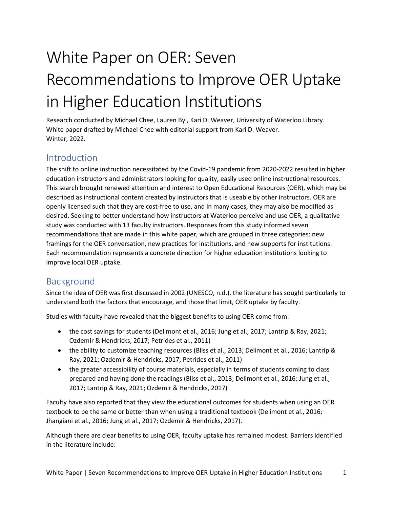# White Paper on OER: Seven Recommendations to Improve OER Uptake in Higher Education Institutions

Research conducted by Michael Chee, Lauren Byl, Kari D. Weaver, University of Waterloo Library. White paper drafted by Michael Chee with editorial support from Kari D. Weaver. Winter, 2022.

## Introduction

The shift to online instruction necessitated by the Covid-19 pandemic from 2020-2022 resulted in higher education instructors and administrators looking for quality, easily used online instructional resources. This search brought renewed attention and interest to Open Educational Resources (OER), which may be described as instructional content created by instructors that is useable by other instructors. OER are openly licensed such that they are cost-free to use, and in many cases, they may also be modified as desired. Seeking to better understand how instructors at Waterloo perceive and use OER, a qualitative study was conducted with 13 faculty instructors. Responses from this study informed seven recommendations that are made in this white paper, which are grouped in three categories: new framings for the OER conversation, new practices for institutions, and new supports for institutions. Each recommendation represents a concrete direction for higher education institutions looking to improve local OER uptake.

## Background

Since the idea of OER was first discussed in 2002 (UNESCO, n.d.), the literature has sought particularly to understand both the factors that encourage, and those that limit, OER uptake by faculty.

Studies with faculty have revealed that the biggest benefits to using OER come from:

- the cost savings for students (Delimont et al., 2016; Jung et al., 2017; Lantrip & Ray, 2021; Ozdemir & Hendricks, 2017; Petrides et al., 2011)
- the ability to customize teaching resources (Bliss et al., 2013; Delimont et al., 2016; Lantrip & Ray, 2021; Ozdemir & Hendricks, 2017; Petrides et al., 2011)
- the greater accessibility of course materials, especially in terms of students coming to class prepared and having done the readings (Bliss et al., 2013; Delimont et al., 2016; Jung et al., 2017; Lantrip & Ray, 2021; Ozdemir & Hendricks, 2017)

Faculty have also reported that they view the educational outcomes for students when using an OER textbook to be the same or better than when using a traditional textbook (Delimont et al., 2016; Jhangiani et al., 2016; Jung et al., 2017; Ozdemir & Hendricks, 2017).

Although there are clear benefits to using OER, faculty uptake has remained modest. Barriers identified in the literature include: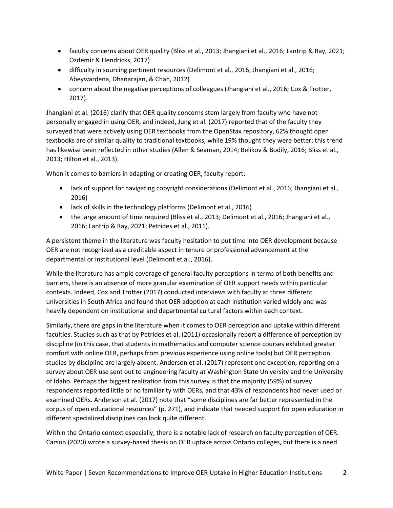- faculty concerns about OER quality (Bliss et al., 2013; Jhangiani et al., 2016; Lantrip & Ray, 2021; Ozdemir & Hendricks, 2017)
- difficulty in sourcing pertinent resources (Delimont et al., 2016; Jhangiani et al., 2016; Abeywardena, Dhanarajan, & Chan, 2012)
- concern about the negative perceptions of colleagues (Jhangiani et al., 2016; Cox & Trotter, 2017).

Jhangiani et al. (2016) clarify that OER quality concerns stem largely from faculty who have not personally engaged in using OER, and indeed, Jung et al. (2017) reported that of the faculty they surveyed that were actively using OER textbooks from the OpenStax repository, 62% thought open textbooks are of similar quality to traditional textbooks, while 19% thought they were better: this trend has likewise been reflected in other studies (Allen & Seaman, 2014; Belikov & Bodily, 2016; Bliss et al., 2013; Hilton et al., 2013).

When it comes to barriers in adapting or creating OER, faculty report:

- lack of support for navigating copyright considerations (Delimont et al., 2016; Jhangiani et al., 2016)
- lack of skills in the technology platforms (Delimont et al., 2016)
- the large amount of time required (Bliss et al., 2013; Delimont et al., 2016; Jhangiani et al., 2016; Lantrip & Ray, 2021; Petrides et al., 2011).

A persistent theme in the literature was faculty hesitation to put time into OER development because OER are not recognized as a creditable aspect in tenure or professional advancement at the departmental or institutional level (Delimont et al., 2016).

While the literature has ample coverage of general faculty perceptions in terms of both benefits and barriers, there is an absence of more granular examination of OER support needs within particular contexts. Indeed, Cox and Trotter (2017) conducted interviews with faculty at three different universities in South Africa and found that OER adoption at each institution varied widely and was heavily dependent on institutional and departmental cultural factors within each context.

Similarly, there are gaps in the literature when it comes to OER perception and uptake within different faculties. Studies such as that by Petrides et al. (2011) occasionally report a difference of perception by discipline (in this case, that students in mathematics and computer science courses exhibited greater comfort with online OER, perhaps from previous experience using online tools) but OER perception studies by discipline are largely absent. Anderson et al. (2017) represent one exception, reporting on a survey about OER use sent out to engineering faculty at Washington State University and the University of Idaho. Perhaps the biggest realization from this survey is that the majority (59%) of survey respondents reported little or no familiarity with OERs, and that 43% of respondents had never used or examined OERs. Anderson et al. (2017) note that "some disciplines are far better represented in the corpus of open educational resources" (p. 271), and indicate that needed support for open education in different specialized disciplines can look quite different.

Within the Ontario context especially, there is a notable lack of research on faculty perception of OER. Carson (2020) wrote a survey-based thesis on OER uptake across Ontario colleges, but there is a need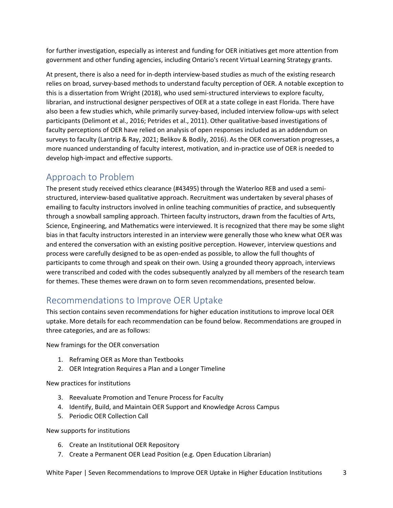for further investigation, especially as interest and funding for OER initiatives get more attention from government and other funding agencies, including Ontario's recent Virtual Learning Strategy grants.

At present, there is also a need for in-depth interview-based studies as much of the existing research relies on broad, survey-based methods to understand faculty perception of OER. A notable exception to this is a dissertation from Wright (2018), who used semi-structured interviews to explore faculty, librarian, and instructional designer perspectives of OER at a state college in east Florida. There have also been a few studies which, while primarily survey-based, included interview follow-ups with select participants (Delimont et al., 2016; Petrides et al., 2011). Other qualitative-based investigations of faculty perceptions of OER have relied on analysis of open responses included as an addendum on surveys to faculty (Lantrip & Ray, 2021; Belikov & Bodily, 2016). As the OER conversation progresses, a more nuanced understanding of faculty interest, motivation, and in-practice use of OER is needed to develop high-impact and effective supports.

# Approach to Problem

The present study received ethics clearance (#43495) through the Waterloo REB and used a semistructured, interview-based qualitative approach. Recruitment was undertaken by several phases of emailing to faculty instructors involved in online teaching communities of practice, and subsequently through a snowball sampling approach. Thirteen faculty instructors, drawn from the faculties of Arts, Science, Engineering, and Mathematics were interviewed. It is recognized that there may be some slight bias in that faculty instructors interested in an interview were generally those who knew what OER was and entered the conversation with an existing positive perception. However, interview questions and process were carefully designed to be as open-ended as possible, to allow the full thoughts of participants to come through and speak on their own. Using a grounded theory approach, interviews were transcribed and coded with the codes subsequently analyzed by all members of the research team for themes. These themes were drawn on to form seven recommendations, presented below.

# Recommendations to Improve OER Uptake

This section contains seven recommendations for higher education institutions to improve local OER uptake. More details for each recommendation can be found below. Recommendations are grouped in three categories, and are as follows:

New framings for the OER conversation

- 1. Reframing OER as More than Textbooks
- 2. OER Integration Requires a Plan and a Longer Timeline

New practices for institutions

- 3. Reevaluate Promotion and Tenure Process for Faculty
- 4. Identify, Build, and Maintain OER Support and Knowledge Across Campus
- 5. Periodic OER Collection Call

New supports for institutions

- 6. Create an Institutional OER Repository
- 7. Create a Permanent OER Lead Position (e.g. Open Education Librarian)

White Paper | Seven Recommendations to Improve OER Uptake in Higher Education Institutions 3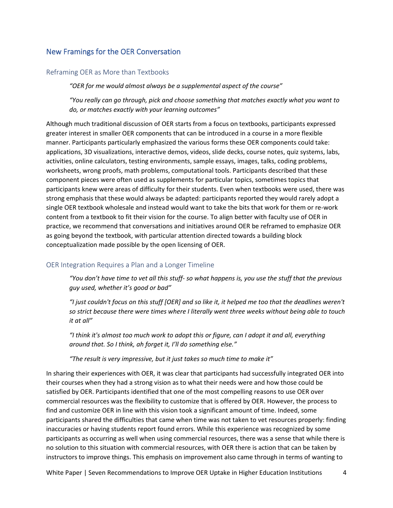#### New Framings for the OER Conversation

#### Reframing OER as More than Textbooks

*"OER for me would almost always be a supplemental aspect of the course"*

*"You really can go through, pick and choose something that matches exactly what you want to do, or matches exactly with your learning outcomes"*

Although much traditional discussion of OER starts from a focus on textbooks, participants expressed greater interest in smaller OER components that can be introduced in a course in a more flexible manner. Participants particularly emphasized the various forms these OER components could take: applications, 3D visualizations, interactive demos, videos, slide decks, course notes, quiz systems, labs, activities, online calculators, testing environments, sample essays, images, talks, coding problems, worksheets, wrong proofs, math problems, computational tools. Participants described that these component pieces were often used as supplements for particular topics, sometimes topics that participants knew were areas of difficulty for their students. Even when textbooks were used, there was strong emphasis that these would always be adapted: participants reported they would rarely adopt a single OER textbook wholesale and instead would want to take the bits that work for them or re-work content from a textbook to fit their vision for the course. To align better with faculty use of OER in practice, we recommend that conversations and initiatives around OER be reframed to emphasize OER as going beyond the textbook, with particular attention directed towards a building block conceptualization made possible by the open licensing of OER.

#### OER Integration Requires a Plan and a Longer Timeline

*"You don't have time to vet all this stuff- so what happens is, you use the stuff that the previous guy used, whether it's good or bad"*

*"I just couldn't focus on this stuff [OER] and so like it, it helped me too that the deadlines weren't so strict because there were times where I literally went three weeks without being able to touch it at all"*

*"I think it's almost too much work to adopt this or figure, can I adopt it and all, everything around that. So I think, ah forget it, I'll do something else."*

*"The result is very impressive, but it just takes so much time to make it"*

In sharing their experiences with OER, it was clear that participants had successfully integrated OER into their courses when they had a strong vision as to what their needs were and how those could be satisfied by OER. Participants identified that one of the most compelling reasons to use OER over commercial resources was the flexibility to customize that is offered by OER. However, the process to find and customize OER in line with this vision took a significant amount of time. Indeed, some participants shared the difficulties that came when time was not taken to vet resources properly: finding inaccuracies or having students report found errors. While this experience was recognized by some participants as occurring as well when using commercial resources, there was a sense that while there is no solution to this situation with commercial resources, with OER there is action that can be taken by instructors to improve things. This emphasis on improvement also came through in terms of wanting to

White Paper | Seven Recommendations to Improve OER Uptake in Higher Education Institutions 4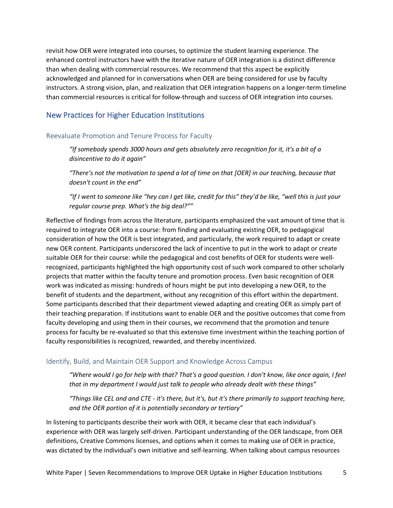revisit how OER were integrated into courses, to optimize the student learning experience. The enhanced control instructors have with the iterative nature of OER integration is a distinct difference than when dealing with commercial resources. We recommend that this aspect be explicitly acknowledged and planned for in conversations when OER are being considered for use by faculty instructors. A strong vision, plan, and realization that OER integration happens on a longer-term timeline than commercial resources is critical for follow-through and success of OER integration into courses.

#### New Practices for Higher Education Institutions

#### Reevaluate Promotion and Tenure Process for Faculty

*"If somebody spends 3000 hours and gets absolutely zero recognition for it, it's a bit of a disincentive to do it again"*

*"There's not the motivation to spend a lot of time on that [OER] in our teaching, because that doesn't count in the end"*

*"If I went to someone like "hey can I get like, credit for this" they'd be like, "well this is just your regular course prep. What's the big deal?""*

Reflective of findings from across the literature, participants emphasized the vast amount of time that is required to integrate OER into a course: from finding and evaluating existing OER, to pedagogical consideration of how the OER is best integrated, and particularly, the work required to adapt or create new OER content. Participants underscored the lack of incentive to put in the work to adapt or create suitable OER for their course: while the pedagogical and cost benefits of OER for students were wellrecognized, participants highlighted the high opportunity cost of such work compared to other scholarly projects that matter within the faculty tenure and promotion process. Even basic recognition of OER work was indicated as missing: hundreds of hours might be put into developing a new OER, to the benefit of students and the department, without any recognition of this effort within the department. Some participants described that their department viewed adapting and creating OER as simply part of their teaching preparation. If institutions want to enable OER and the positive outcomes that come from faculty developing and using them in their courses, we recommend that the promotion and tenure process for faculty be re-evaluated so that this extensive time investment within the teaching portion of faculty responsibilities is recognized, rewarded, and thereby incentivized.

#### Identify, Build, and Maintain OER Support and Knowledge Across Campus

*"Where would I go for help with that? That's a good question. I don't know, like once again, I feel that in my department I would just talk to people who already dealt with these things"*

*"Things like CEL and and CTE - it's there, but it's, but it's there primarily to support teaching here, and the OER portion of it is potentially secondary or tertiary"*

In listening to participants describe their work with OER, it became clear that each individual's experience with OER was largely self-driven. Participant understanding of the OER landscape, from OER definitions, Creative Commons licenses, and options when it comes to making use of OER in practice, was dictated by the individual's own initiative and self-learning. When talking about campus resources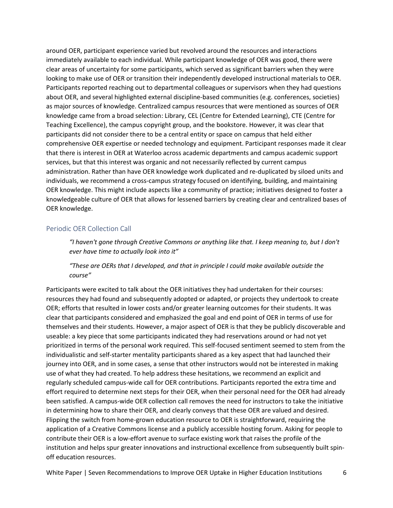around OER, participant experience varied but revolved around the resources and interactions immediately available to each individual. While participant knowledge of OER was good, there were clear areas of uncertainty for some participants, which served as significant barriers when they were looking to make use of OER or transition their independently developed instructional materials to OER. Participants reported reaching out to departmental colleagues or supervisors when they had questions about OER, and several highlighted external discipline-based communities (e.g. conferences, societies) as major sources of knowledge. Centralized campus resources that were mentioned as sources of OER knowledge came from a broad selection: Library, CEL (Centre for Extended Learning), CTE (Centre for Teaching Excellence), the campus copyright group, and the bookstore. However, it was clear that participants did not consider there to be a central entity or space on campus that held either comprehensive OER expertise or needed technology and equipment. Participant responses made it clear that there is interest in OER at Waterloo across academic departments and campus academic support services, but that this interest was organic and not necessarily reflected by current campus administration. Rather than have OER knowledge work duplicated and re-duplicated by siloed units and individuals, we recommend a cross-campus strategy focused on identifying, building, and maintaining OER knowledge. This might include aspects like a community of practice; initiatives designed to foster a knowledgeable culture of OER that allows for lessened barriers by creating clear and centralized bases of OER knowledge.

#### Periodic OER Collection Call

*"I haven't gone through Creative Commons or anything like that. I keep meaning to, but I don't ever have time to actually look into it"*

*"These are OERs that I developed, and that in principle I could make available outside the course"*

Participants were excited to talk about the OER initiatives they had undertaken for their courses: resources they had found and subsequently adopted or adapted, or projects they undertook to create OER; efforts that resulted in lower costs and/or greater learning outcomes for their students. It was clear that participants considered and emphasized the goal and end point of OER in terms of use for themselves and their students. However, a major aspect of OER is that they be publicly discoverable and useable: a key piece that some participants indicated they had reservations around or had not yet prioritized in terms of the personal work required. This self-focused sentiment seemed to stem from the individualistic and self-starter mentality participants shared as a key aspect that had launched their journey into OER, and in some cases, a sense that other instructors would not be interested in making use of what they had created. To help address these hesitations, we recommend an explicit and regularly scheduled campus-wide call for OER contributions. Participants reported the extra time and effort required to determine next steps for their OER, when their personal need for the OER had already been satisfied. A campus-wide OER collection call removes the need for instructors to take the initiative in determining how to share their OER, and clearly conveys that these OER are valued and desired. Flipping the switch from home-grown education resource to OER is straightforward, requiring the application of a Creative Commons license and a publicly accessible hosting forum. Asking for people to contribute their OER is a low-effort avenue to surface existing work that raises the profile of the institution and helps spur greater innovations and instructional excellence from subsequently built spinoff education resources.

White Paper | Seven Recommendations to Improve OER Uptake in Higher Education Institutions 6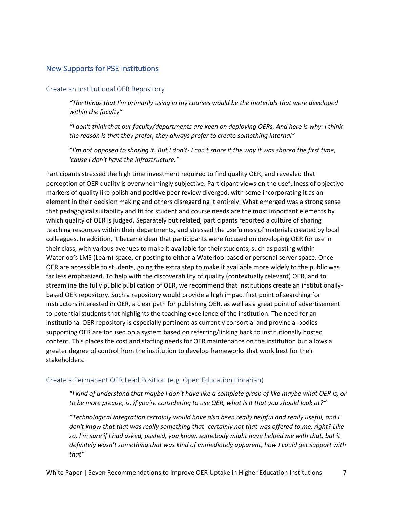#### New Supports for PSE Institutions

#### Create an Institutional OER Repository

*"The things that I'm primarily using in my courses would be the materials that were developed within the faculty"*

*"I don't think that our faculty/departments are keen on deploying OERs. And here is why: I think the reason is that they prefer, they always prefer to create something internal"*

*"I'm not opposed to sharing it. But I don't- I can't share it the way it was shared the first time, 'cause I don't have the infrastructure."*

Participants stressed the high time investment required to find quality OER, and revealed that perception of OER quality is overwhelmingly subjective. Participant views on the usefulness of objective markers of quality like polish and positive peer review diverged, with some incorporating it as an element in their decision making and others disregarding it entirely. What emerged was a strong sense that pedagogical suitability and fit for student and course needs are the most important elements by which quality of OER is judged. Separately but related, participants reported a culture of sharing teaching resources within their departments, and stressed the usefulness of materials created by local colleagues. In addition, it became clear that participants were focused on developing OER for use in their class, with various avenues to make it available for their students, such as posting within Waterloo's LMS (Learn) space, or posting to either a Waterloo-based or personal server space. Once OER are accessible to students, going the extra step to make it available more widely to the public was far less emphasized. To help with the discoverability of quality (contextually relevant) OER, and to streamline the fully public publication of OER, we recommend that institutions create an institutionallybased OER repository. Such a repository would provide a high impact first point of searching for instructors interested in OER, a clear path for publishing OER, as well as a great point of advertisement to potential students that highlights the teaching excellence of the institution. The need for an institutional OER repository is especially pertinent as currently consortial and provincial bodies supporting OER are focused on a system based on referring/linking back to institutionally hosted content. This places the cost and staffing needs for OER maintenance on the institution but allows a greater degree of control from the institution to develop frameworks that work best for their stakeholders.

#### Create a Permanent OER Lead Position (e.g. Open Education Librarian)

*"I kind of understand that maybe I don't have like a complete grasp of like maybe what OER is, or to be more precise, is, if you're considering to use OER, what is it that you should look at?"*

*"Technological integration certainly would have also been really helpful and really useful, and I don't know that that was really something that- certainly not that was offered to me, right? Like so, I'm sure if I had asked, pushed, you know, somebody might have helped me with that, but it definitely wasn't something that was kind of immediately apparent, how I could get support with that"*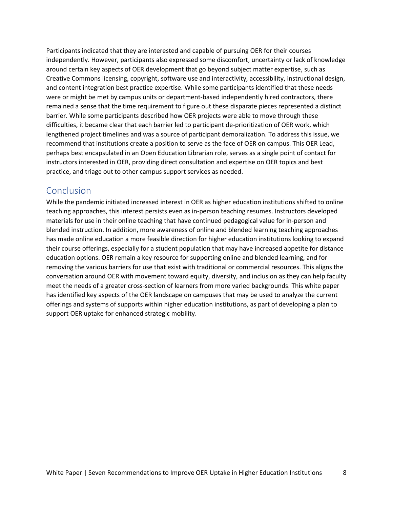Participants indicated that they are interested and capable of pursuing OER for their courses independently. However, participants also expressed some discomfort, uncertainty or lack of knowledge around certain key aspects of OER development that go beyond subject matter expertise, such as Creative Commons licensing, copyright, software use and interactivity, accessibility, instructional design, and content integration best practice expertise. While some participants identified that these needs were or might be met by campus units or department-based independently hired contractors, there remained a sense that the time requirement to figure out these disparate pieces represented a distinct barrier. While some participants described how OER projects were able to move through these difficulties, it became clear that each barrier led to participant de-prioritization of OER work, which lengthened project timelines and was a source of participant demoralization. To address this issue, we recommend that institutions create a position to serve as the face of OER on campus. This OER Lead, perhaps best encapsulated in an Open Education Librarian role, serves as a single point of contact for instructors interested in OER, providing direct consultation and expertise on OER topics and best practice, and triage out to other campus support services as needed.

## Conclusion

While the pandemic initiated increased interest in OER as higher education institutions shifted to online teaching approaches, this interest persists even as in-person teaching resumes. Instructors developed materials for use in their online teaching that have continued pedagogical value for in-person and blended instruction. In addition, more awareness of online and blended learning teaching approaches has made online education a more feasible direction for higher education institutions looking to expand their course offerings, especially for a student population that may have increased appetite for distance education options. OER remain a key resource for supporting online and blended learning, and for removing the various barriers for use that exist with traditional or commercial resources. This aligns the conversation around OER with movement toward equity, diversity, and inclusion as they can help faculty meet the needs of a greater cross-section of learners from more varied backgrounds. This white paper has identified key aspects of the OER landscape on campuses that may be used to analyze the current offerings and systems of supports within higher education institutions, as part of developing a plan to support OER uptake for enhanced strategic mobility.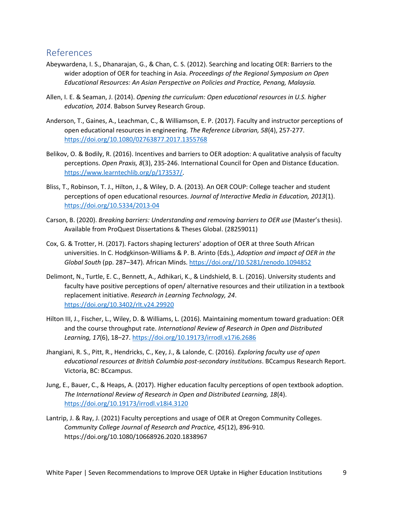## References

- Abeywardena, I. S., Dhanarajan, G., & Chan, C. S. (2012). Searching and locating OER: Barriers to the wider adoption of OER for teaching in Asia. *Proceedings of the Regional Symposium on Open Educational Resources: An Asian Perspective on Policies and Practice, Penang, Malaysia.*
- Allen, I. E. & Seaman, J. (2014). *Opening the curriculum: Open educational resources in U.S. higher education, 2014*. Babson Survey Research Group.
- Anderson, T., Gaines, A., Leachman, C., & Williamson, E. P. (2017). Faculty and instructor perceptions of open educational resources in engineering. *The Reference Librarian, 58*(4), 257-277. <https://doi.org/10.1080/02763877.2017.1355768>
- Belikov, O. & Bodily, R. (2016). Incentives and barriers to OER adoption: A qualitative analysis of faculty perceptions. *Open Praxis, 8*(3), 235-246. International Council for Open and Distance Education. [https://www.learntechlib.org/p/173537/.](https://www.learntechlib.org/p/173537/)
- Bliss, T., Robinson, T. J., Hilton, J., & Wiley, D. A. (2013). An OER COUP: College teacher and student perceptions of open educational resources. *Journal of Interactive Media in Education, 2013*(1). <https://doi.org/10.5334/2013-04>
- Carson, B. (2020). *Breaking barriers: Understanding and removing barriers to OER use* (Master's thesis). Available from ProQuest Dissertations & Theses Global. (28259011)
- Cox, G. & Trotter, H. (2017). Factors shaping lecturers' adoption of OER at three South African universities. In C. Hodgkinson-Williams & P. B. Arinto (Eds.), *Adoption and impact of OER in the Global South* (pp. 287–347). African Minds. [https://doi.org//10.5281/zenodo.1094852](https://doi.org/10.5281/zenodo.1094852)
- Delimont, N., Turtle, E. C., Bennett, A., Adhikari, K., & Lindshield, B. L. (2016). University students and faculty have positive perceptions of open/ alternative resources and their utilization in a textbook replacement initiative. *Research in Learning Technology, 24*. <https://doi.org/10.3402/rlt.v24.29920>
- Hilton III, J., Fischer, L., Wiley, D. & Williams, L. (2016). Maintaining momentum toward graduation: OER and the course throughput rate. *International Review of Research in Open and Distributed Learning, 17*(6), 18–27.<https://doi.org/10.19173/irrodl.v17i6.2686>
- Jhangiani, R. S., Pitt, R., Hendricks, C., Key, J., & Lalonde, C. (2016). *Exploring faculty use of open educational resources at British Columbia post-secondary institutions*. BCcampus Research Report. Victoria, BC: BCcampus.
- Jung, E., Bauer, C., & Heaps, A. (2017). Higher education faculty perceptions of open textbook adoption. *The International Review of Research in Open and Distributed Learning, 18*(4). <https://doi.org/10.19173/irrodl.v18i4.3120>
- Lantrip, J. & Ray, J. (2021) Faculty perceptions and usage of OER at Oregon Community Colleges. *Community College Journal of Research and Practice, 45*(12), 896-910. https://doi.org/10.1080/10668926.2020.1838967